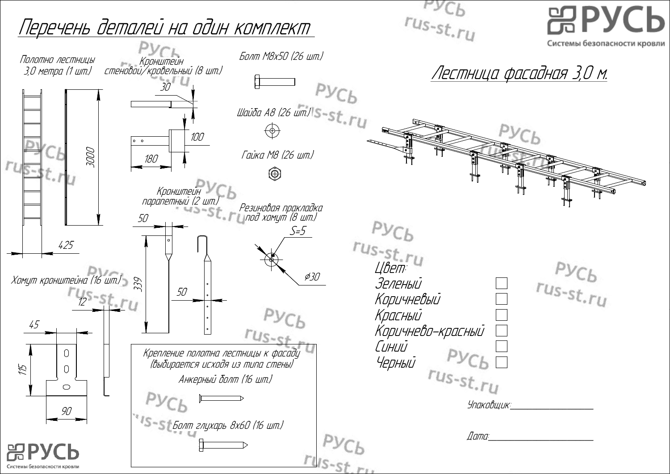$r_{Us-st,ru}$ Перечень деталей на один комплект Болт М8х50 (26 шт.) Полотно лестницы Кронштейн Лестница фасадная 3,0 <sup>м</sup>. 3,0 метра (1 шт.) стеновой/кровельный (8 шт.)  $Pyc<sub>b</sub>$ 30 Шайба А8 (26 шт.) $\frac{1}{s}$ -St. $\frac{1}{u}$  $\overline{\Theta}$ 100  $\circ$   $\circ$ 3000 Гайка М8 (26 шт.) 180  $\circledcirc$  $r_{\cdot L}$ Кронштейн парапетный (2 шт.) Резиновая пракладка под хомут (8 шт.) 50  $Pyc<sub>b</sub>$  $S = 5$ rus-st.ru 425  $\cancel{\phi}30$ Хомут кронштейна (16 шт.) 339 Зеленый Уеленый<br>Коричневый<br>Красный<br>Коричнево-красный<br>Синий<br>Черный РУСЬ 50  $4s$ -st.ry Коричневый  $Pyc_b$ Красный 45 Коричнево-красный  $r_{Us-sf}$ Синий  $\bigcap$ Черный Крепление полотна лестницы <sup>к</sup> фасаду (выбирается исходя из типа стены) 115  $\bigcap$ Анкерный болт (16 шт.)  $\bigcirc$ Упаковшик:  $90$ Болт глухарь 8х60 (16 шт.)  $\varPi$ ama:  $rus_{st,ru}$ Системы безопасности кровли